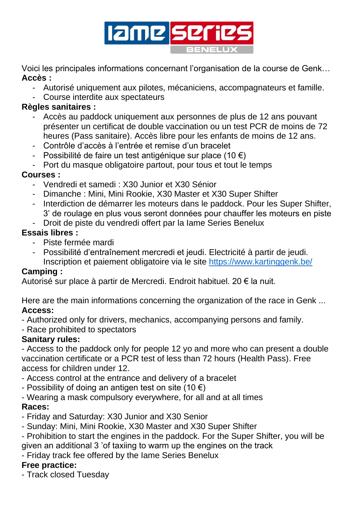

Voici les principales informations concernant l'organisation de la course de Genk… **Accès :**

- Autorisé uniquement aux pilotes, mécaniciens, accompagnateurs et famille.
- Course interdite aux spectateurs

#### **Règles sanitaires :**

- Accès au paddock uniquement aux personnes de plus de 12 ans pouvant présenter un certificat de double vaccination ou un test PCR de moins de 72 heures (Pass sanitaire). Accès libre pour les enfants de moins de 12 ans.
- Contrôle d'accès à l'entrée et remise d'un bracelet
- Possibilité de faire un test antigénique sur place (10  $\epsilon$ )
- Port du masque obligatoire partout, pour tous et tout le temps

#### **Courses :**

- Vendredi et samedi : X30 Junior et X30 Sénior
- Dimanche : Mini, Mini Rookie, X30 Master et X30 Super Shifter
- Interdiction de démarrer les moteurs dans le paddock. Pour les Super Shifter, 3' de roulage en plus vous seront données pour chauffer les moteurs en piste
- Droit de piste du vendredi offert par la Iame Series Benelux

## **Essais libres :**

- Piste fermée mardi
- Possibilité d'entraînement mercredi et jeudi. Electricité à partir de jeudi. Inscription et paiement obligatoire via le site<https://www.kartinggenk.be/>

## **Camping :**

Autorisé sur place à partir de Mercredi. Endroit habituel. 20 € la nuit.

Here are the main informations concerning the organization of the race in Genk ... **Access:**

- Authorized only for drivers, mechanics, accompanying persons and family.

- Race prohibited to spectators

## **Sanitary rules:**

- Access to the paddock only for people 12 yo and more who can present a double vaccination certificate or a PCR test of less than 72 hours (Health Pass). Free access for children under 12.

- Access control at the entrance and delivery of a bracelet
- Possibility of doing an antigen test on site (10  $\epsilon$ )
- Wearing a mask compulsory everywhere, for all and at all times

## **Races:**

- Friday and Saturday: X30 Junior and X30 Senior
- Sunday: Mini, Mini Rookie, X30 Master and X30 Super Shifter
- Prohibition to start the engines in the paddock. For the Super Shifter, you will be given an additional 3 'of taxiing to warm up the engines on the track
- Friday track fee offered by the Iame Series Benelux

# **Free practice:**

- Track closed Tuesday